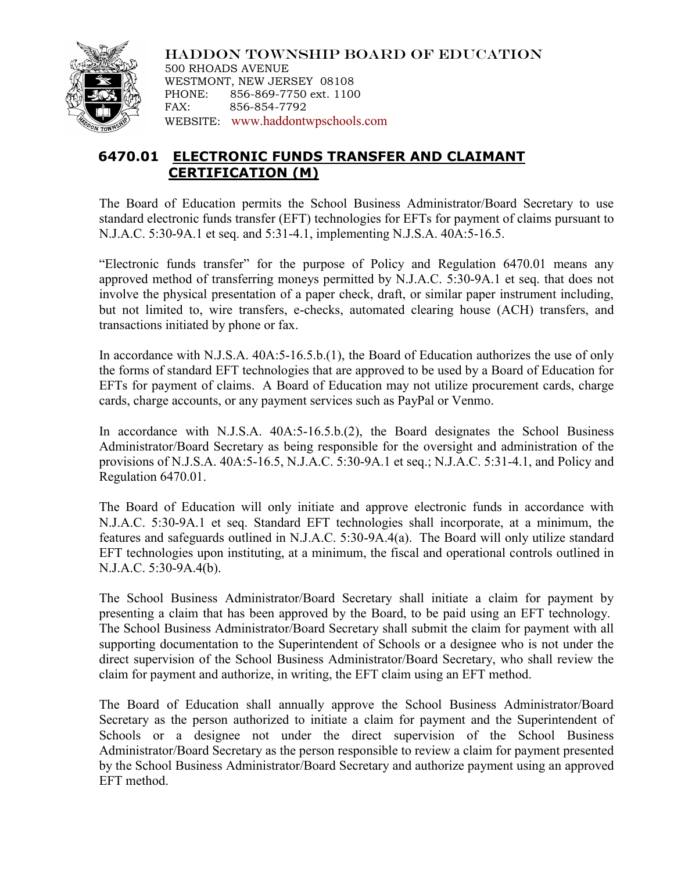

HADDON TOWNSHIP BOARD OF EDUCATION 500 RHOADS AVENUE WESTMONT, NEW JERSEY 08108 PHONE: 856-869-7750 ext. 1100 FAX: 856-854-7792 WEBSITE: [www.haddontwpschools.com](http://www.haddontwpschools.com/)

## **6470.01 ELECTRONIC FUNDS TRANSFER AND CLAIMANT CERTIFICATION (M)**

The Board of Education permits the School Business Administrator/Board Secretary to use standard electronic funds transfer (EFT) technologies for EFTs for payment of claims pursuant to N.J.A.C. 5:30-9A.1 et seq. and 5:31-4.1, implementing N.J.S.A. 40A:5-16.5.

"Electronic funds transfer" for the purpose of Policy and Regulation 6470.01 means any approved method of transferring moneys permitted by N.J.A.C. 5:30-9A.1 et seq. that does not involve the physical presentation of a paper check, draft, or similar paper instrument including, but not limited to, wire transfers, e-checks, automated clearing house (ACH) transfers, and transactions initiated by phone or fax.

In accordance with N.J.S.A. 40A:5-16.5.b.(1), the Board of Education authorizes the use of only the forms of standard EFT technologies that are approved to be used by a Board of Education for EFTs for payment of claims. A Board of Education may not utilize procurement cards, charge cards, charge accounts, or any payment services such as PayPal or Venmo.

In accordance with N.J.S.A. 40A:5-16.5.b.(2), the Board designates the School Business Administrator/Board Secretary as being responsible for the oversight and administration of the provisions of N.J.S.A. 40A:5-16.5, N.J.A.C. 5:30-9A.1 et seq.; N.J.A.C. 5:31-4.1, and Policy and Regulation 6470.01.

The Board of Education will only initiate and approve electronic funds in accordance with N.J.A.C. 5:30-9A.1 et seq. Standard EFT technologies shall incorporate, at a minimum, the features and safeguards outlined in N.J.A.C. 5:30-9A.4(a). The Board will only utilize standard EFT technologies upon instituting, at a minimum, the fiscal and operational controls outlined in N.J.A.C. 5:30-9A.4(b).

The School Business Administrator/Board Secretary shall initiate a claim for payment by presenting a claim that has been approved by the Board, to be paid using an EFT technology. The School Business Administrator/Board Secretary shall submit the claim for payment with all supporting documentation to the Superintendent of Schools or a designee who is not under the direct supervision of the School Business Administrator/Board Secretary, who shall review the claim for payment and authorize, in writing, the EFT claim using an EFT method.

The Board of Education shall annually approve the School Business Administrator/Board Secretary as the person authorized to initiate a claim for payment and the Superintendent of Schools or a designee not under the direct supervision of the School Business Administrator/Board Secretary as the person responsible to review a claim for payment presented by the School Business Administrator/Board Secretary and authorize payment using an approved EFT method.